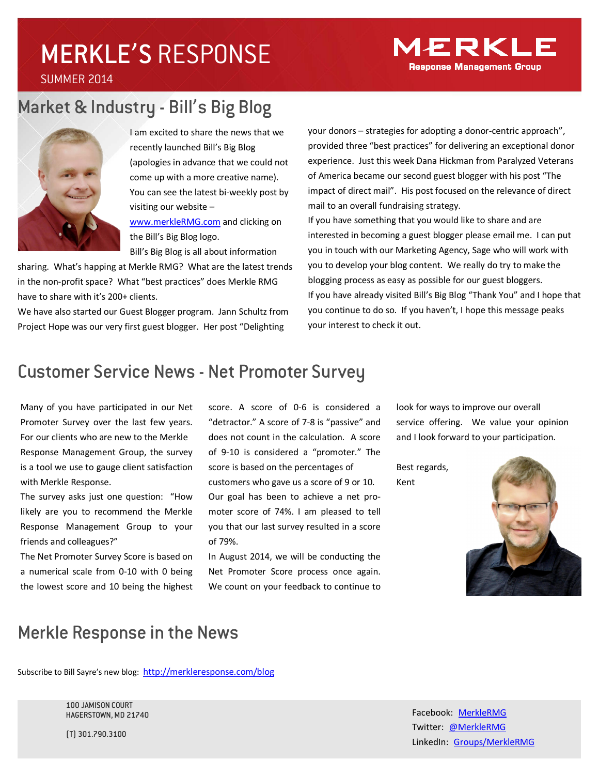# MERKLE'S RESPONSE

SUMMER 2014

## Market & Industry - Bill's Big Blog



I am excited to share the news that we recently launched Bill's Big Blog (apologies in advance that we could not come up with a more creative name). You can see the latest bi-weekly post by visiting our website – www.merkleRMG.com and clicking on

the Bill's Big Blog logo. Bill's Big Blog is all about information

sharing. What's happing at Merkle RMG? What are the latest trends in the non-profit space? What "best practices" does Merkle RMG have to share with it's 200+ clients.

We have also started our Guest Blogger program. Jann Schultz from Project Hope was our very first guest blogger. Her post "Delighting

your donors – strategies for adopting a donor-centric approach", provided three "best practices" for delivering an exceptional donor experience. Just this week Dana Hickman from Paralyzed Veterans of America became our second guest blogger with his post "The impact of direct mail". His post focused on the relevance of direct mail to an overall fundraising strategy.

If you have something that you would like to share and are interested in becoming a guest blogger please email me. I can put you in touch with our Marketing Agency, Sage who will work with you to develop your blog content. We really do try to make the blogging process as easy as possible for our guest bloggers. If you have already visited Bill's Big Blog "Thank You" and I hope that you continue to do so. If you haven't, I hope this message peaks your interest to check it out.

### Customer Service News - Net Promoter Survey

Many of you have participated in our Net Promoter Survey over the last few years. For our clients who are new to the Merkle Response Management Group, the survey is a tool we use to gauge client satisfaction with Merkle Response.

The survey asks just one question: "How likely are you to recommend the Merkle Response Management Group to your friends and colleagues?"

The Net Promoter Survey Score is based on a numerical scale from 0-10 with 0 being the lowest score and 10 being the highest

score. A score of 0-6 is considered a "detractor." A score of 7-8 is "passive" and does not count in the calculation. A score of 9-10 is considered a "promoter." The score is based on the percentages of customers who gave us a score of 9 or 10. Our goal has been to achieve a net promoter score of 74%. I am pleased to tell you that our last survey resulted in a score of 79%.

In August 2014, we will be conducting the Net Promoter Score process once again. We count on your feedback to continue to look for ways to improve our overall service offering. We value your opinion and I look forward to your participation.

Best regards, Kent



### Merkle Response in the News

Subscribe to Bill Sayre's new blog: http://merkleresponse.com/blog

100 JAMISON COURT HAGERSTOWN, MD 21740

(T) 301.790.3100

Facebook: MerkleRMG Twitter: @MerkleRMG LinkedIn: Groups/MerkleRMG